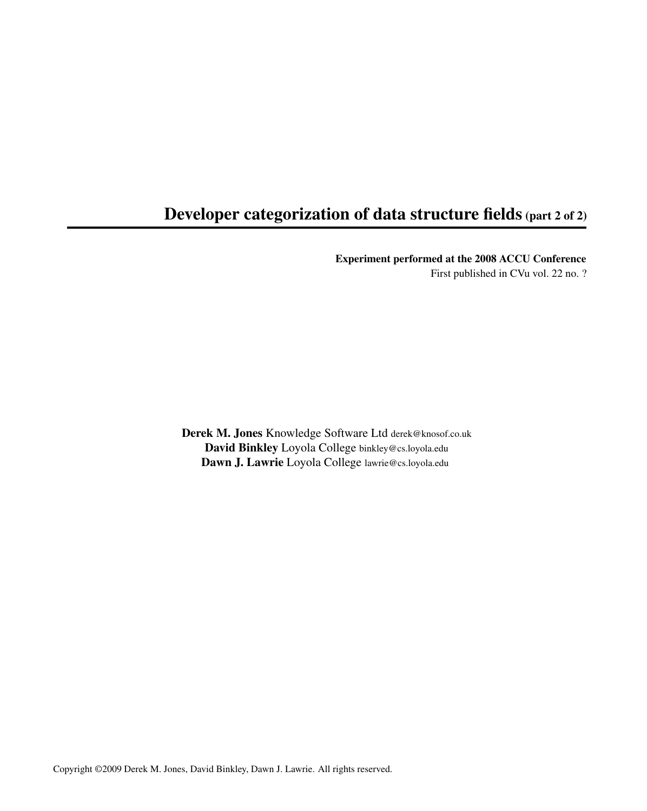## Developer categorization of data structure fields (part 2 of 2)

Experiment performed at the 2008 ACCU Conference

First published in CVu vol. 22 no. ?

Derek M. Jones Knowledge Software Ltd derek@knosof.co.uk David Binkley Loyola College binkley@cs.loyola.edu Dawn J. Lawrie Loyola College lawrie@cs.loyola.edu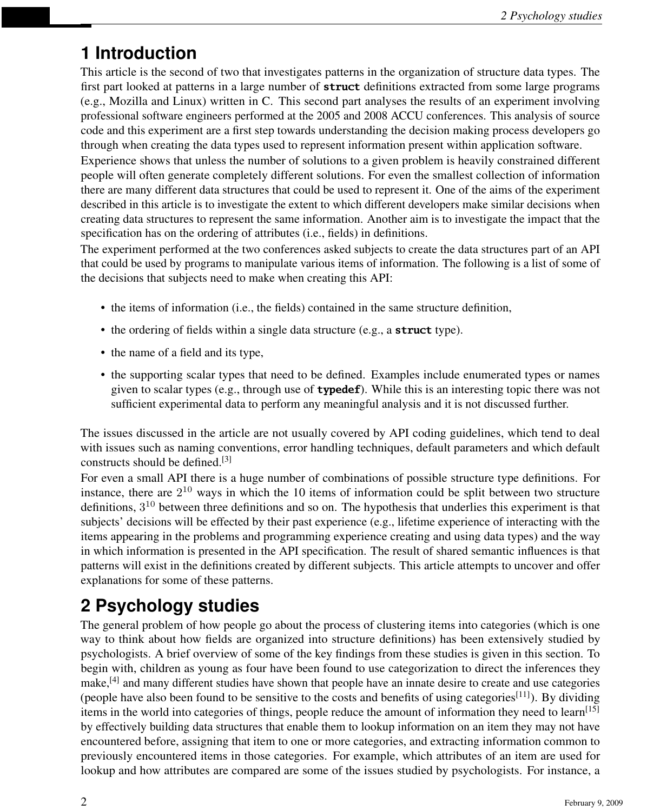# **1 Introduction**

This article is the second of two that investigates patterns in the organization of structure data types. The first part looked at patterns in a large number of **struct** definitions extracted from some large programs (e.g., Mozilla and Linux) written in C. This second part analyses the results of an experiment involving professional software engineers performed at the 2005 and 2008 ACCU conferences. This analysis of source code and this experiment are a first step towards understanding the decision making process developers go through when creating the data types used to represent information present within application software.

Experience shows that unless the number of solutions to a given problem is heavily constrained different people will often generate completely different solutions. For even the smallest collection of information there are many different data structures that could be used to represent it. One of the aims of the experiment described in this article is to investigate the extent to which different developers make similar decisions when creating data structures to represent the same information. Another aim is to investigate the impact that the specification has on the ordering of attributes (i.e., fields) in definitions.

The experiment performed at the two conferences asked subjects to create the data structures part of an API that could be used by programs to manipulate various items of information. The following is a list of some of the decisions that subjects need to make when creating this API:

- the items of information (i.e., the fields) contained in the same structure definition,
- the ordering of fields within a single data structure (e.g., a **struct** type).
- the name of a field and its type,
- the supporting scalar types that need to be defined. Examples include enumerated types or names given to scalar types (e.g., through use of **typedef**). While this is an interesting topic there was not sufficient experimental data to perform any meaningful analysis and it is not discussed further.

The issues discussed in the article are not usually covered by API coding guidelines, which tend to deal with issues such as naming conventions, error handling techniques, default parameters and which default constructs should be defined.[3]

For even a small API there is a huge number of combinations of possible structure type definitions. For instance, there are  $2^{10}$  ways in which the 10 items of information could be split between two structure definitions,  $3^{10}$  between three definitions and so on. The hypothesis that underlies this experiment is that subjects' decisions will be effected by their past experience (e.g., lifetime experience of interacting with the items appearing in the problems and programming experience creating and using data types) and the way in which information is presented in the API specification. The result of shared semantic influences is that patterns will exist in the definitions created by different subjects. This article attempts to uncover and offer explanations for some of these patterns.

# **2 Psychology studies**

The general problem of how people go about the process of clustering items into categories (which is one way to think about how fields are organized into structure definitions) has been extensively studied by psychologists. A brief overview of some of the key findings from these studies is given in this section. To begin with, children as young as four have been found to use categorization to direct the inferences they make,<sup>[4]</sup> and many different studies have shown that people have an innate desire to create and use categories (people have also been found to be sensitive to the costs and benefits of using categories<sup>[11]</sup>). By dividing items in the world into categories of things, people reduce the amount of information they need to learn<sup>[15]</sup> by effectively building data structures that enable them to lookup information on an item they may not have encountered before, assigning that item to one or more categories, and extracting information common to previously encountered items in those categories. For example, which attributes of an item are used for lookup and how attributes are compared are some of the issues studied by psychologists. For instance, a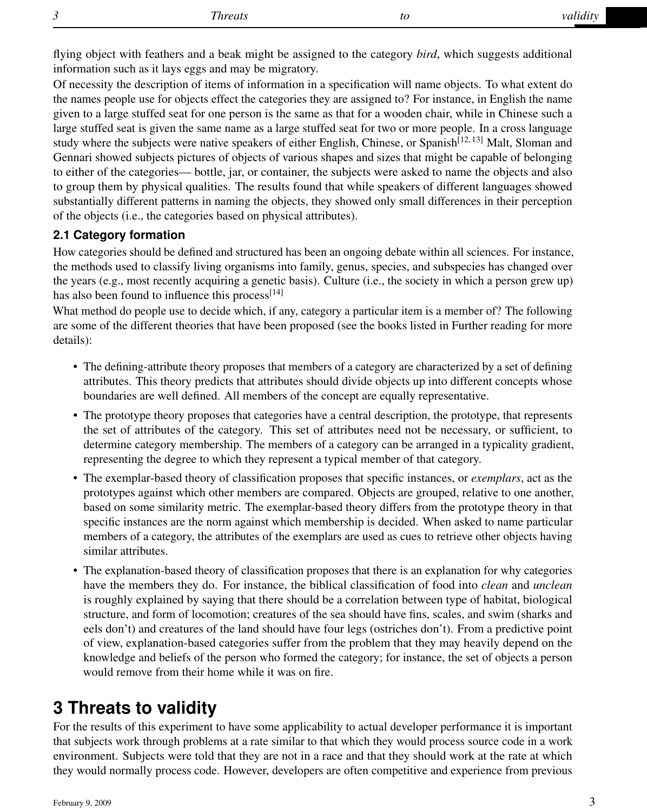flying object with feathers and a beak might be assigned to the category *bird*, which suggests additional information such as it lays eggs and may be migratory.

Of necessity the description of items of information in a specification will name objects. To what extent do the names people use for objects effect the categories they are assigned to? For instance, in English the name given to a large stuffed seat for one person is the same as that for a wooden chair, while in Chinese such a large stuffed seat is given the same name as a large stuffed seat for two or more people. In a cross language study where the subjects were native speakers of either English, Chinese, or Spanish<sup>[12, 13]</sup> Malt, Sloman and Gennari showed subjects pictures of objects of various shapes and sizes that might be capable of belonging to either of the categories— bottle, jar, or container, the subjects were asked to name the objects and also to group them by physical qualities. The results found that while speakers of different languages showed substantially different patterns in naming the objects, they showed only small differences in their perception of the objects (i.e., the categories based on physical attributes).

### **2.1 Category formation**

How categories should be defined and structured has been an ongoing debate within all sciences. For instance, the methods used to classify living organisms into family, genus, species, and subspecies has changed over the years (e.g., most recently acquiring a genetic basis). Culture (i.e., the society in which a person grew up) has also been found to influence this process $[14]$ 

What method do people use to decide which, if any, category a particular item is a member of? The following are some of the different theories that have been proposed (see the books listed in Further reading for more details):

- The defining-attribute theory proposes that members of a category are characterized by a set of defining attributes. This theory predicts that attributes should divide objects up into different concepts whose boundaries are well defined. All members of the concept are equally representative.
- The prototype theory proposes that categories have a central description, the prototype, that represents the set of attributes of the category. This set of attributes need not be necessary, or sufficient, to determine category membership. The members of a category can be arranged in a typicality gradient, representing the degree to which they represent a typical member of that category.
- The exemplar-based theory of classification proposes that specific instances, or *exemplars*, act as the prototypes against which other members are compared. Objects are grouped, relative to one another, based on some similarity metric. The exemplar-based theory differs from the prototype theory in that specific instances are the norm against which membership is decided. When asked to name particular members of a category, the attributes of the exemplars are used as cues to retrieve other objects having similar attributes.
- The explanation-based theory of classification proposes that there is an explanation for why categories have the members they do. For instance, the biblical classification of food into *clean* and *unclean* is roughly explained by saying that there should be a correlation between type of habitat, biological structure, and form of locomotion; creatures of the sea should have fins, scales, and swim (sharks and eels don't) and creatures of the land should have four legs (ostriches don't). From a predictive point of view, explanation-based categories suffer from the problem that they may heavily depend on the knowledge and beliefs of the person who formed the category; for instance, the set of objects a person would remove from their home while it was on fire.

## **3 Threats to validity**

For the results of this experiment to have some applicability to actual developer performance it is important that subjects work through problems at a rate similar to that which they would process source code in a work environment. Subjects were told that they are not in a race and that they should work at the rate at which they would normally process code. However, developers are often competitive and experience from previous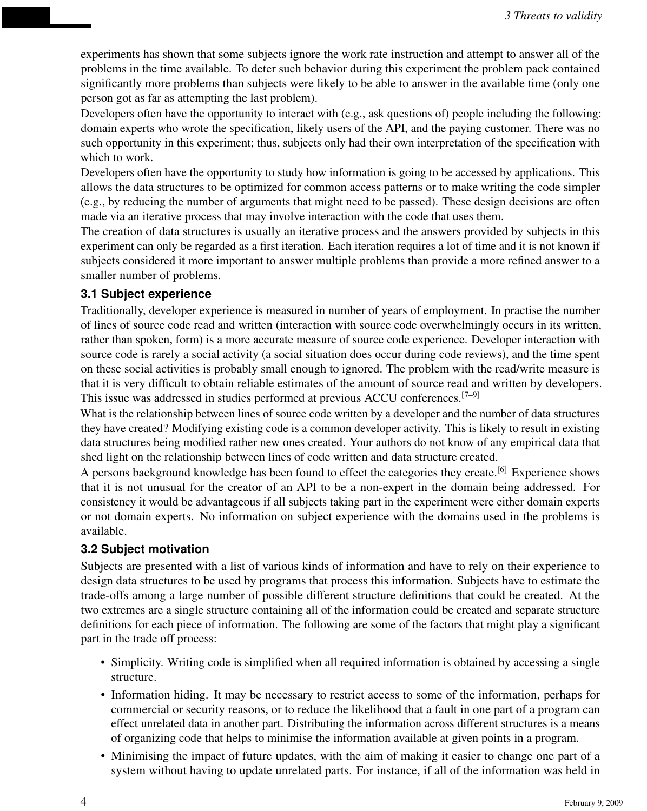experiments has shown that some subjects ignore the work rate instruction and attempt to answer all of the problems in the time available. To deter such behavior during this experiment the problem pack contained significantly more problems than subjects were likely to be able to answer in the available time (only one person got as far as attempting the last problem).

Developers often have the opportunity to interact with (e.g., ask questions of) people including the following: domain experts who wrote the specification, likely users of the API, and the paying customer. There was no such opportunity in this experiment; thus, subjects only had their own interpretation of the specification with which to work.

Developers often have the opportunity to study how information is going to be accessed by applications. This allows the data structures to be optimized for common access patterns or to make writing the code simpler (e.g., by reducing the number of arguments that might need to be passed). These design decisions are often made via an iterative process that may involve interaction with the code that uses them.

The creation of data structures is usually an iterative process and the answers provided by subjects in this experiment can only be regarded as a first iteration. Each iteration requires a lot of time and it is not known if subjects considered it more important to answer multiple problems than provide a more refined answer to a smaller number of problems.

### **3.1 Subject experience**

Traditionally, developer experience is measured in number of years of employment. In practise the number of lines of source code read and written (interaction with source code overwhelmingly occurs in its written, rather than spoken, form) is a more accurate measure of source code experience. Developer interaction with source code is rarely a social activity (a social situation does occur during code reviews), and the time spent on these social activities is probably small enough to ignored. The problem with the read/write measure is that it is very difficult to obtain reliable estimates of the amount of source read and written by developers. This issue was addressed in studies performed at previous ACCU conferences.<sup>[7–9]</sup>

What is the relationship between lines of source code written by a developer and the number of data structures they have created? Modifying existing code is a common developer activity. This is likely to result in existing data structures being modified rather new ones created. Your authors do not know of any empirical data that shed light on the relationship between lines of code written and data structure created.

A persons background knowledge has been found to effect the categories they create.[6] Experience shows that it is not unusual for the creator of an API to be a non-expert in the domain being addressed. For consistency it would be advantageous if all subjects taking part in the experiment were either domain experts or not domain experts. No information on subject experience with the domains used in the problems is available.

## **3.2 Subject motivation**

Subjects are presented with a list of various kinds of information and have to rely on their experience to design data structures to be used by programs that process this information. Subjects have to estimate the trade-offs among a large number of possible different structure definitions that could be created. At the two extremes are a single structure containing all of the information could be created and separate structure definitions for each piece of information. The following are some of the factors that might play a significant part in the trade off process:

- Simplicity. Writing code is simplified when all required information is obtained by accessing a single structure.
- Information hiding. It may be necessary to restrict access to some of the information, perhaps for commercial or security reasons, or to reduce the likelihood that a fault in one part of a program can effect unrelated data in another part. Distributing the information across different structures is a means of organizing code that helps to minimise the information available at given points in a program.
- Minimising the impact of future updates, with the aim of making it easier to change one part of a system without having to update unrelated parts. For instance, if all of the information was held in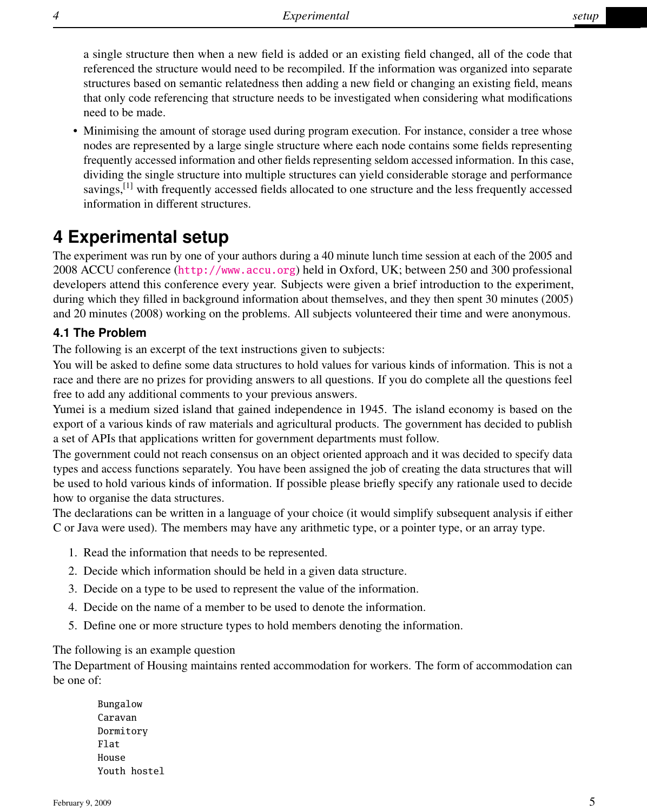a single structure then when a new field is added or an existing field changed, all of the code that referenced the structure would need to be recompiled. If the information was organized into separate structures based on semantic relatedness then adding a new field or changing an existing field, means that only code referencing that structure needs to be investigated when considering what modifications need to be made.

• Minimising the amount of storage used during program execution. For instance, consider a tree whose nodes are represented by a large single structure where each node contains some fields representing frequently accessed information and other fields representing seldom accessed information. In this case, dividing the single structure into multiple structures can yield considerable storage and performance savings,  $\left[1\right]$  with frequently accessed fields allocated to one structure and the less frequently accessed information in different structures.

## **4 Experimental setup**

The experiment was run by one of your authors during a 40 minute lunch time session at each of the 2005 and 2008 ACCU conference (<http://www.accu.org>) held in Oxford, UK; between 250 and 300 professional developers attend this conference every year. Subjects were given a brief introduction to the experiment, during which they filled in background information about themselves, and they then spent 30 minutes (2005) and 20 minutes (2008) working on the problems. All subjects volunteered their time and were anonymous.

### **4.1 The Problem**

The following is an excerpt of the text instructions given to subjects:

You will be asked to define some data structures to hold values for various kinds of information. This is not a race and there are no prizes for providing answers to all questions. If you do complete all the questions feel free to add any additional comments to your previous answers.

Yumei is a medium sized island that gained independence in 1945. The island economy is based on the export of a various kinds of raw materials and agricultural products. The government has decided to publish a set of APIs that applications written for government departments must follow.

The government could not reach consensus on an object oriented approach and it was decided to specify data types and access functions separately. You have been assigned the job of creating the data structures that will be used to hold various kinds of information. If possible please briefly specify any rationale used to decide how to organise the data structures.

The declarations can be written in a language of your choice (it would simplify subsequent analysis if either C or Java were used). The members may have any arithmetic type, or a pointer type, or an array type.

- 1. Read the information that needs to be represented.
- 2. Decide which information should be held in a given data structure.
- 3. Decide on a type to be used to represent the value of the information.
- 4. Decide on the name of a member to be used to denote the information.
- 5. Define one or more structure types to hold members denoting the information.

The following is an example question

The Department of Housing maintains rented accommodation for workers. The form of accommodation can be one of:

Bungalow Caravan Dormitory Flat House Youth hostel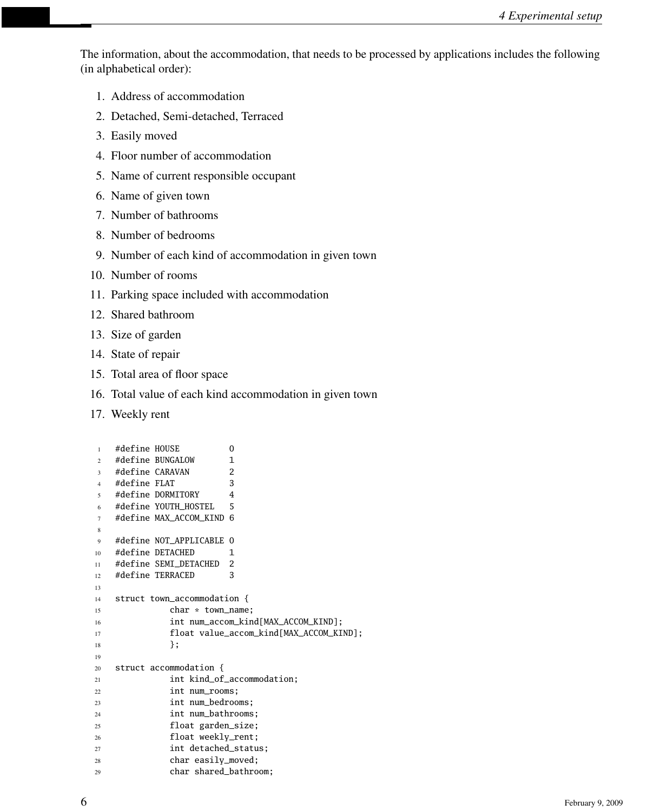The information, about the accommodation, that needs to be processed by applications includes the following (in alphabetical order):

- 1. Address of accommodation
- 2. Detached, Semi-detached, Terraced
- 3. Easily moved
- 4. Floor number of accommodation
- 5. Name of current responsible occupant
- 6. Name of given town
- 7. Number of bathrooms
- 8. Number of bedrooms
- 9. Number of each kind of accommodation in given town
- 10. Number of rooms
- 11. Parking space included with accommodation
- 12. Shared bathroom
- 13. Size of garden
- 14. State of repair
- 15. Total area of floor space
- 16. Total value of each kind accommodation in given town
- 17. Weekly rent

```
1 #define HOUSE 0
2 #define BUNGALOW 1
3 #define CARAVAN 2
4 #define FLAT 3
5 #define DORMITORY 4
6 #define YOUTH_HOSTEL 5
7 #define MAX_ACCOM_KIND 6
8
9 #define NOT_APPLICABLE 0
10 #define DETACHED 1
11 #define SEMI_DETACHED 2
12 #define TERRACED 3
13
14 struct town_accommodation {
15 char * town_name;
16 int num_accom_kind[MAX_ACCOM_KIND];
17 float value_accom_kind[MAX_ACCOM_KIND];
18 };
19
20 struct accommodation {
21 int kind_of_accommodation;
22 int num_rooms;
23 int num_bedrooms;
24 int num bathrooms:
25 float garden_size;
26 float weekly_rent;
27 int detached_status;
28 char easily_moved;
29 char shared_bathroom;
```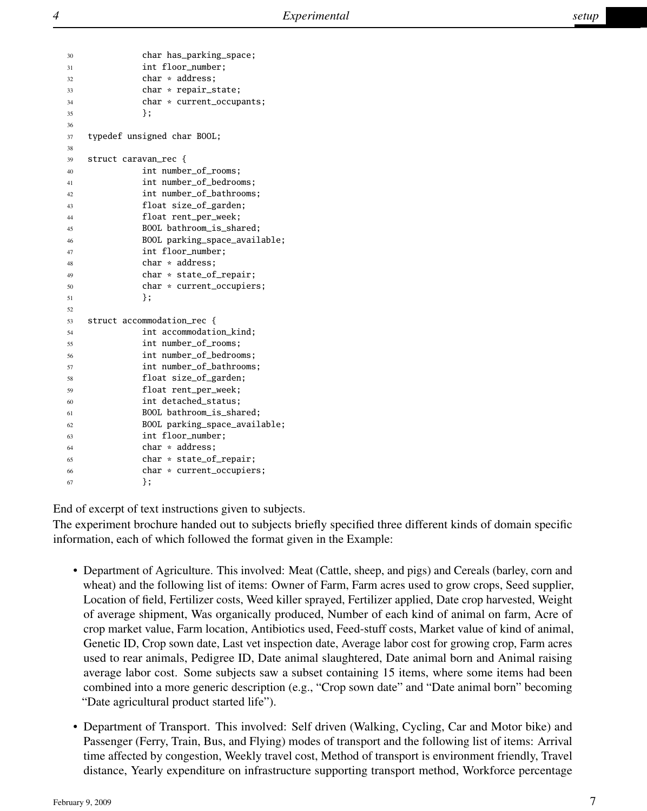```
30 char has_parking_space;
31 int floor_number;
32 char * address;
33 char * repair_state;
34 char * current_occupants;
35 };
36
37 typedef unsigned char BOOL;
38
39 struct caravan_rec {
40 int number of rooms:
41 int number_of_bedrooms;
42 int number_of_bathrooms;
43 float size_of_garden;
44 float rent_per_week;
45 BOOL bathroom_is_shared;
46 BOOL parking_space_available;
47 int floor number:
48 char * address:
49 char * state_of_repair;
50 char * current_occupiers;
51 };
52
53 struct accommodation_rec {
54 int accommodation_kind;
55 int number_of_rooms;
56 int number_of_bedrooms;
57 int number_of_bathrooms;
58 float size_of_garden;
59 float rent_per_week;
60 int detached_status;
61 BOOL bathroom_is_shared;
62 BOOL parking_space_available;
63 int floor_number;
64 char * address;
65 char * state_of_repair;
66 char * current_occupiers;
\{67\};
```
End of excerpt of text instructions given to subjects.

The experiment brochure handed out to subjects briefly specified three different kinds of domain specific information, each of which followed the format given in the Example:

- Department of Agriculture. This involved: Meat (Cattle, sheep, and pigs) and Cereals (barley, corn and wheat) and the following list of items: Owner of Farm, Farm acres used to grow crops, Seed supplier, Location of field, Fertilizer costs, Weed killer sprayed, Fertilizer applied, Date crop harvested, Weight of average shipment, Was organically produced, Number of each kind of animal on farm, Acre of crop market value, Farm location, Antibiotics used, Feed-stuff costs, Market value of kind of animal, Genetic ID, Crop sown date, Last vet inspection date, Average labor cost for growing crop, Farm acres used to rear animals, Pedigree ID, Date animal slaughtered, Date animal born and Animal raising average labor cost. Some subjects saw a subset containing 15 items, where some items had been combined into a more generic description (e.g., "Crop sown date" and "Date animal born" becoming "Date agricultural product started life").
- Department of Transport. This involved: Self driven (Walking, Cycling, Car and Motor bike) and Passenger (Ferry, Train, Bus, and Flying) modes of transport and the following list of items: Arrival time affected by congestion, Weekly travel cost, Method of transport is environment friendly, Travel distance, Yearly expenditure on infrastructure supporting transport method, Workforce percentage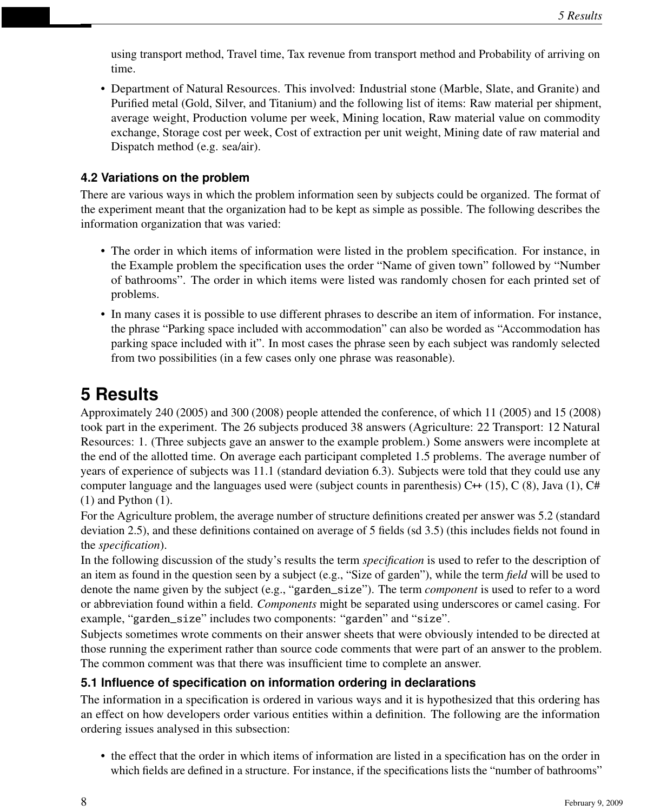using transport method, Travel time, Tax revenue from transport method and Probability of arriving on time.

• Department of Natural Resources. This involved: Industrial stone (Marble, Slate, and Granite) and Purified metal (Gold, Silver, and Titanium) and the following list of items: Raw material per shipment, average weight, Production volume per week, Mining location, Raw material value on commodity exchange, Storage cost per week, Cost of extraction per unit weight, Mining date of raw material and Dispatch method (e.g. sea/air).

## **4.2 Variations on the problem**

There are various ways in which the problem information seen by subjects could be organized. The format of the experiment meant that the organization had to be kept as simple as possible. The following describes the information organization that was varied:

- The order in which items of information were listed in the problem specification. For instance, in the Example problem the specification uses the order "Name of given town" followed by "Number of bathrooms". The order in which items were listed was randomly chosen for each printed set of problems.
- In many cases it is possible to use different phrases to describe an item of information. For instance, the phrase "Parking space included with accommodation" can also be worded as "Accommodation has parking space included with it". In most cases the phrase seen by each subject was randomly selected from two possibilities (in a few cases only one phrase was reasonable).

# **5 Results**

Approximately 240 (2005) and 300 (2008) people attended the conference, of which 11 (2005) and 15 (2008) took part in the experiment. The 26 subjects produced 38 answers (Agriculture: 22 Transport: 12 Natural Resources: 1. (Three subjects gave an answer to the example problem.) Some answers were incomplete at the end of the allotted time. On average each participant completed 1.5 problems. The average number of years of experience of subjects was 11.1 (standard deviation 6.3). Subjects were told that they could use any computer language and the languages used were (subject counts in parenthesis) C $\leftrightarrow$  (15), C (8), Java (1), C# (1) and Python (1).

For the Agriculture problem, the average number of structure definitions created per answer was 5.2 (standard deviation 2.5), and these definitions contained on average of 5 fields (sd 3.5) (this includes fields not found in the *specification*).

In the following discussion of the study's results the term *specification* is used to refer to the description of an item as found in the question seen by a subject (e.g., "Size of garden"), while the term *field* will be used to denote the name given by the subject (e.g., "garden\_size"). The term *component* is used to refer to a word or abbreviation found within a field. *Components* might be separated using underscores or camel casing. For example, "garden\_size" includes two components: "garden" and "size".

Subjects sometimes wrote comments on their answer sheets that were obviously intended to be directed at those running the experiment rather than source code comments that were part of an answer to the problem. The common comment was that there was insufficient time to complete an answer.

## **5.1 Influence of specification on information ordering in declarations**

The information in a specification is ordered in various ways and it is hypothesized that this ordering has an effect on how developers order various entities within a definition. The following are the information ordering issues analysed in this subsection:

• the effect that the order in which items of information are listed in a specification has on the order in which fields are defined in a structure. For instance, if the specifications lists the "number of bathrooms"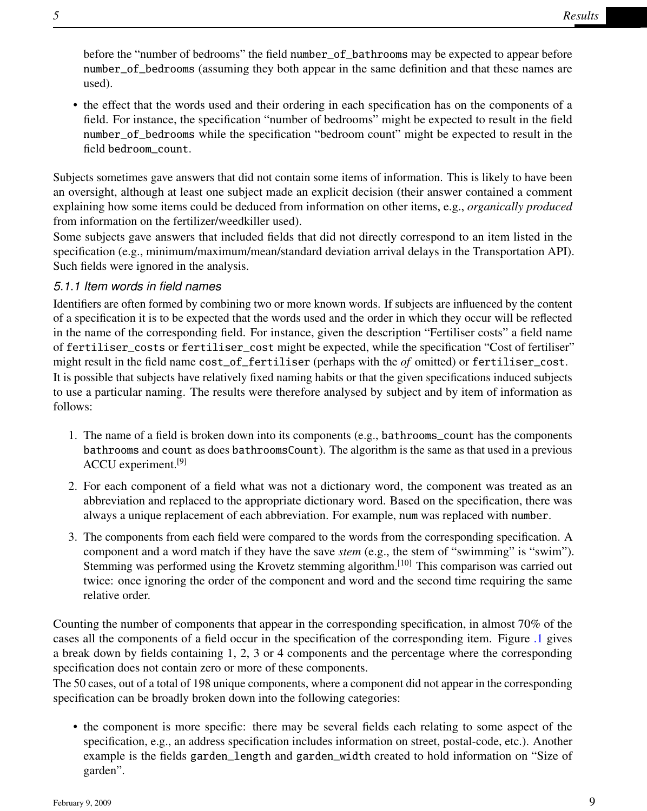before the "number of bedrooms" the field number\_of\_bathrooms may be expected to appear before number\_of\_bedrooms (assuming they both appear in the same definition and that these names are used).

• the effect that the words used and their ordering in each specification has on the components of a field. For instance, the specification "number of bedrooms" might be expected to result in the field number\_of\_bedrooms while the specification "bedroom count" might be expected to result in the field bedroom\_count.

Subjects sometimes gave answers that did not contain some items of information. This is likely to have been an oversight, although at least one subject made an explicit decision (their answer contained a comment explaining how some items could be deduced from information on other items, e.g., *organically produced* from information on the fertilizer/weedkiller used).

Some subjects gave answers that included fields that did not directly correspond to an item listed in the specification (e.g., minimum/maximum/mean/standard deviation arrival delays in the Transportation API). Such fields were ignored in the analysis.

### *5.1.1 Item words in field names*

Identifiers are often formed by combining two or more known words. If subjects are influenced by the content of a specification it is to be expected that the words used and the order in which they occur will be reflected in the name of the corresponding field. For instance, given the description "Fertiliser costs" a field name of fertiliser\_costs or fertiliser\_cost might be expected, while the specification "Cost of fertiliser" might result in the field name cost\_of\_fertiliser (perhaps with the *of* omitted) or fertiliser\_cost. It is possible that subjects have relatively fixed naming habits or that the given specifications induced subjects to use a particular naming. The results were therefore analysed by subject and by item of information as follows:

- 1. The name of a field is broken down into its components (e.g., bathrooms\_count has the components bathrooms and count as does bathroomsCount). The algorithm is the same as that used in a previous ACCU experiment.[9]
- 2. For each component of a field what was not a dictionary word, the component was treated as an abbreviation and replaced to the appropriate dictionary word. Based on the specification, there was always a unique replacement of each abbreviation. For example, num was replaced with number.
- 3. The components from each field were compared to the words from the corresponding specification. A component and a word match if they have the save *stem* (e.g., the stem of "swimming" is "swim"). Stemming was performed using the Krovetz stemming algorithm.[10] This comparison was carried out twice: once ignoring the order of the component and word and the second time requiring the same relative order.

Counting the number of components that appear in the corresponding specification, in almost 70% of the cases all the components of a field occur in the specification of the corresponding item. Figure [.1](#page-9-0) gives a break down by fields containing 1, 2, 3 or 4 components and the percentage where the corresponding specification does not contain zero or more of these components.

The 50 cases, out of a total of 198 unique components, where a component did not appear in the corresponding specification can be broadly broken down into the following categories:

• the component is more specific: there may be several fields each relating to some aspect of the specification, e.g., an address specification includes information on street, postal-code, etc.). Another example is the fields garden\_length and garden\_width created to hold information on "Size of garden".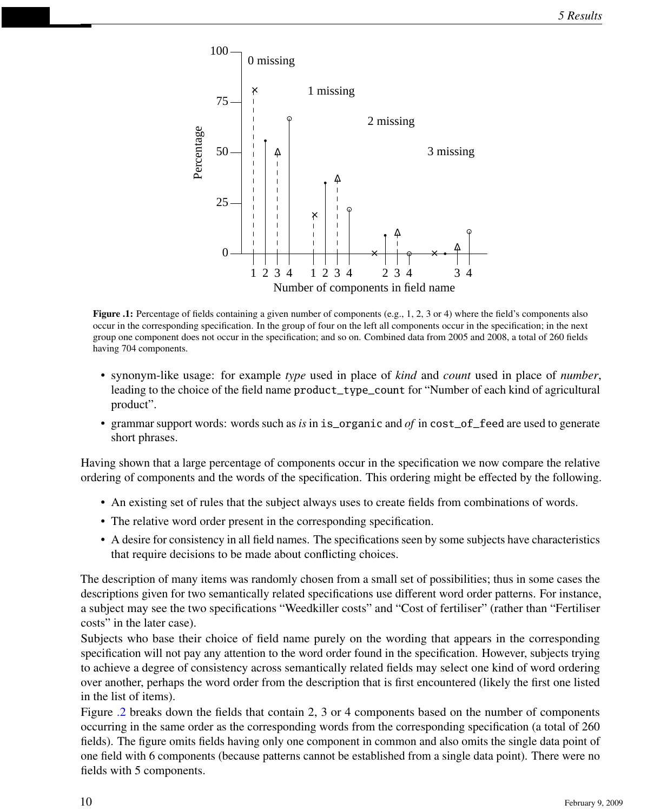

<span id="page-9-0"></span>Figure .1: Percentage of fields containing a given number of components (e.g., 1, 2, 3 or 4) where the field's components also occur in the corresponding specification. In the group of four on the left all components occur in the specification; in the next group one component does not occur in the specification; and so on. Combined data from 2005 and 2008, a total of 260 fields having 704 components.

- synonym-like usage: for example *type* used in place of *kind* and *count* used in place of *number*, leading to the choice of the field name product\_type\_count for "Number of each kind of agricultural product".
- grammar support words: words such as *is* in is\_organic and *of* in cost\_of\_feed are used to generate short phrases.

Having shown that a large percentage of components occur in the specification we now compare the relative ordering of components and the words of the specification. This ordering might be effected by the following.

- An existing set of rules that the subject always uses to create fields from combinations of words.
- The relative word order present in the corresponding specification.
- A desire for consistency in all field names. The specifications seen by some subjects have characteristics that require decisions to be made about conflicting choices.

The description of many items was randomly chosen from a small set of possibilities; thus in some cases the descriptions given for two semantically related specifications use different word order patterns. For instance, a subject may see the two specifications "Weedkiller costs" and "Cost of fertiliser" (rather than "Fertiliser costs" in the later case).

Subjects who base their choice of field name purely on the wording that appears in the corresponding specification will not pay any attention to the word order found in the specification. However, subjects trying to achieve a degree of consistency across semantically related fields may select one kind of word ordering over another, perhaps the word order from the description that is first encountered (likely the first one listed in the list of items).

Figure [.2](#page-10-0) breaks down the fields that contain 2, 3 or 4 components based on the number of components occurring in the same order as the corresponding words from the corresponding specification (a total of 260 fields). The figure omits fields having only one component in common and also omits the single data point of one field with 6 components (because patterns cannot be established from a single data point). There were no fields with 5 components.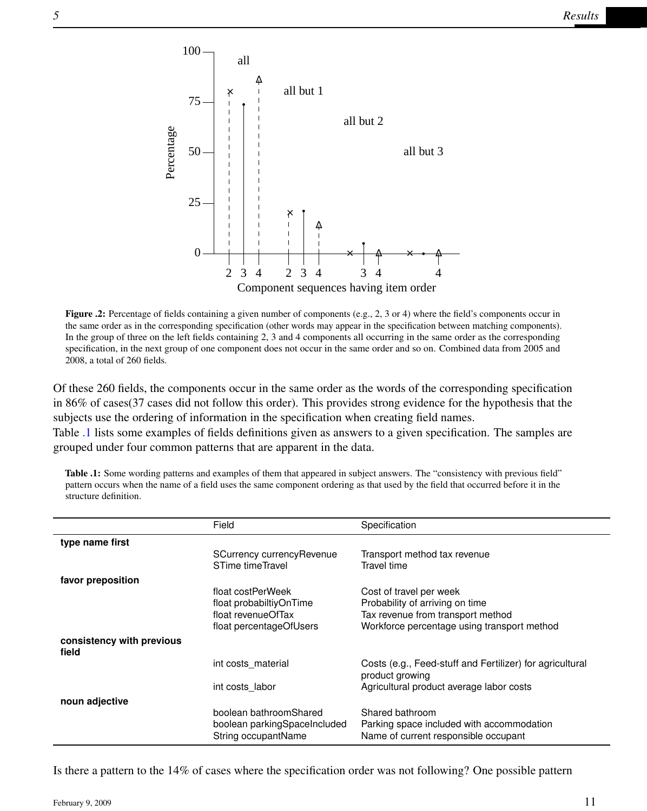

<span id="page-10-0"></span>Figure .2: Percentage of fields containing a given number of components (e.g., 2, 3 or 4) where the field's components occur in the same order as in the corresponding specification (other words may appear in the specification between matching components). In the group of three on the left fields containing 2, 3 and 4 components all occurring in the same order as the corresponding specification, in the next group of one component does not occur in the same order and so on. Combined data from 2005 and 2008, a total of 260 fields.

Of these 260 fields, the components occur in the same order as the words of the corresponding specification in 86% of cases(37 cases did not follow this order). This provides strong evidence for the hypothesis that the subjects use the ordering of information in the specification when creating field names.

Table [.1](#page-10-1) lists some examples of fields definitions given as answers to a given specification. The samples are grouped under four common patterns that are apparent in the data.

|                                    | Field                                                                         | Specification                                                                                        |  |  |  |  |
|------------------------------------|-------------------------------------------------------------------------------|------------------------------------------------------------------------------------------------------|--|--|--|--|
| type name first                    |                                                                               |                                                                                                      |  |  |  |  |
|                                    | SCurrency currency Revenue<br>STime timeTravel                                | Transport method tax revenue<br>Travel time                                                          |  |  |  |  |
| favor preposition                  |                                                                               |                                                                                                      |  |  |  |  |
|                                    | float costPerWeek                                                             | Cost of travel per week                                                                              |  |  |  |  |
|                                    | float probabiltiyOnTime                                                       | Probability of arriving on time                                                                      |  |  |  |  |
|                                    | float revenueOfTax                                                            | Tax revenue from transport method                                                                    |  |  |  |  |
|                                    | float percentageOfUsers                                                       | Workforce percentage using transport method                                                          |  |  |  |  |
| consistency with previous<br>field |                                                                               |                                                                                                      |  |  |  |  |
|                                    | int costs material                                                            | Costs (e.g., Feed-stuff and Fertilizer) for agricultural<br>product growing                          |  |  |  |  |
|                                    | int costs labor                                                               | Agricultural product average labor costs                                                             |  |  |  |  |
| noun adjective                     |                                                                               |                                                                                                      |  |  |  |  |
|                                    | boolean bathroomShared<br>boolean parkingSpaceIncluded<br>String occupantName | Shared bathroom<br>Parking space included with accommodation<br>Name of current responsible occupant |  |  |  |  |

<span id="page-10-1"></span>Table .1: Some wording patterns and examples of them that appeared in subject answers. The "consistency with previous field" pattern occurs when the name of a field uses the same component ordering as that used by the field that occurred before it in the structure definition.

Is there a pattern to the 14% of cases where the specification order was not following? One possible pattern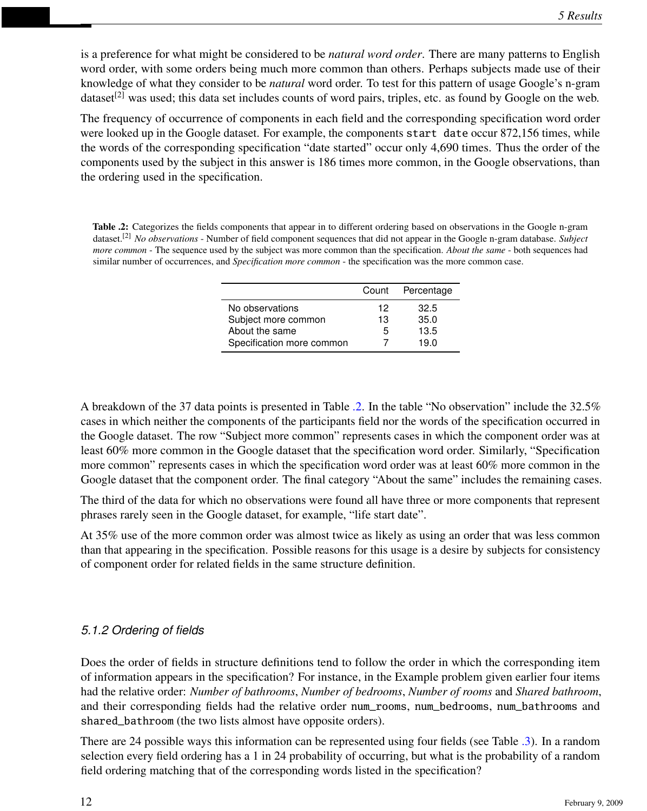is a preference for what might be considered to be *natural word order*. There are many patterns to English word order, with some orders being much more common than others. Perhaps subjects made use of their knowledge of what they consider to be *natural* word order. To test for this pattern of usage Google's n-gram dataset<sup>[2]</sup> was used; this data set includes counts of word pairs, triples, etc. as found by Google on the web.

The frequency of occurrence of components in each field and the corresponding specification word order were looked up in the Google dataset. For example, the components start date occur 872,156 times, while the words of the corresponding specification "date started" occur only 4,690 times. Thus the order of the components used by the subject in this answer is 186 times more common, in the Google observations, than the ordering used in the specification.

<span id="page-11-0"></span>Table .2: Categorizes the fields components that appear in to different ordering based on observations in the Google n-gram dataset.[2] *No observations* - Number of field component sequences that did not appear in the Google n-gram database. *Subject more common* - The sequence used by the subject was more common than the specification. *About the same* - both sequences had similar number of occurrences, and *Specification more common* - the specification was the more common case.

|                           |    | Count Percentage |
|---------------------------|----|------------------|
| No observations           | 12 | 32.5             |
| Subject more common       | 13 | 35.0             |
| About the same            | 5  | 13.5             |
| Specification more common |    | 19.0             |

A breakdown of the 37 data points is presented in Table [.2.](#page-11-0) In the table "No observation" include the 32.5% cases in which neither the components of the participants field nor the words of the specification occurred in the Google dataset. The row "Subject more common" represents cases in which the component order was at least 60% more common in the Google dataset that the specification word order. Similarly, "Specification more common" represents cases in which the specification word order was at least 60% more common in the Google dataset that the component order. The final category "About the same" includes the remaining cases.

The third of the data for which no observations were found all have three or more components that represent phrases rarely seen in the Google dataset, for example, "life start date".

At 35% use of the more common order was almost twice as likely as using an order that was less common than that appearing in the specification. Possible reasons for this usage is a desire by subjects for consistency of component order for related fields in the same structure definition.

## *5.1.2 Ordering of fields*

Does the order of fields in structure definitions tend to follow the order in which the corresponding item of information appears in the specification? For instance, in the Example problem given earlier four items had the relative order: *Number of bathrooms*, *Number of bedrooms*, *Number of rooms* and *Shared bathroom*, and their corresponding fields had the relative order num\_rooms, num\_bedrooms, num\_bathrooms and shared\_bathroom (the two lists almost have opposite orders).

There are 24 possible ways this information can be represented using four fields (see Table [.3\)](#page-12-0). In a random selection every field ordering has a 1 in 24 probability of occurring, but what is the probability of a random field ordering matching that of the corresponding words listed in the specification?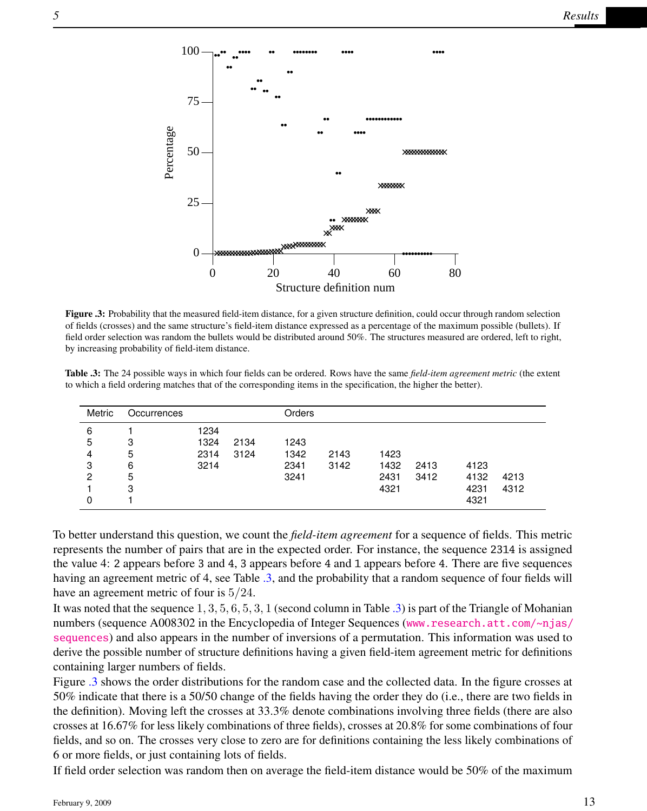Structure definition num 0 20 40 60 80 0 25 50 75 100 × • × • × • × • × • × • × • × • × • × • × • × • × • × • × • × • × • × • × • × • × • × • **xxxxxxxxx** • • • • • • • • • • • • • • ×<br>×× • • •• **×××××××** • • • • • • • • • • × × × × • • • • × × × × × × × × • • • • • • • • *×***×××××××××** • • • • • • • • • • • • • •

<span id="page-12-1"></span>Figure .3: Probability that the measured field-item distance, for a given structure definition, could occur through random selection of fields (crosses) and the same structure's field-item distance expressed as a percentage of the maximum possible (bullets). If field order selection was random the bullets would be distributed around 50%. The structures measured are ordered, left to right, by increasing probability of field-item distance.

<span id="page-12-0"></span>

|  |                                                                                                                 |  |  | Table .3: The 24 possible ways in which four fields can be ordered. Rows have the same field-item agreement metric (the extent |  |
|--|-----------------------------------------------------------------------------------------------------------------|--|--|--------------------------------------------------------------------------------------------------------------------------------|--|
|  | to which a field ordering matches that of the corresponding items in the specification, the higher the better). |  |  |                                                                                                                                |  |

| Metric | Occurrences |      |      | Orders |      |      |      |      |      |
|--------|-------------|------|------|--------|------|------|------|------|------|
| 6      |             | 1234 |      |        |      |      |      |      |      |
| 5      | 3           | 1324 | 2134 | 1243   |      |      |      |      |      |
| 4      | 5           | 2314 | 3124 | 1342   | 2143 | 1423 |      |      |      |
| 3      | 6           | 3214 |      | 2341   | 3142 | 1432 | 2413 | 4123 |      |
| 2      | 5           |      |      | 3241   |      | 2431 | 3412 | 4132 | 4213 |
|        | 3           |      |      |        |      | 4321 |      | 4231 | 4312 |
|        |             |      |      |        |      |      |      | 4321 |      |

To better understand this question, we count the *field-item agreement* for a sequence of fields. This metric represents the number of pairs that are in the expected order. For instance, the sequence 2314 is assigned the value 4: 2 appears before 3 and 4, 3 appears before 4 and 1 appears before 4. There are five sequences having an agreement metric of 4, see Table [.3,](#page-12-0) and the probability that a random sequence of four fields will have an agreement metric of four is 5/24.

It was noted that the sequence 1, 3, 5, 6, 5, 3, 1 (second column in Table [.3\)](#page-12-0) is part of the Triangle of Mohanian numbers (sequence A008302 in the Encyclopedia of Integer Sequences ([www.research.att.com/~njas/](www.research.att.com/~njas/sequences) [sequences](www.research.att.com/~njas/sequences)) and also appears in the number of inversions of a permutation. This information was used to derive the possible number of structure definitions having a given field-item agreement metric for definitions containing larger numbers of fields.

Figure [.3](#page-12-1) shows the order distributions for the random case and the collected data. In the figure crosses at 50% indicate that there is a 50/50 change of the fields having the order they do (i.e., there are two fields in the definition). Moving left the crosses at 33.3% denote combinations involving three fields (there are also crosses at 16.67% for less likely combinations of three fields), crosses at 20.8% for some combinations of four fields, and so on. The crosses very close to zero are for definitions containing the less likely combinations of 6 or more fields, or just containing lots of fields.

If field order selection was random then on average the field-item distance would be 50% of the maximum

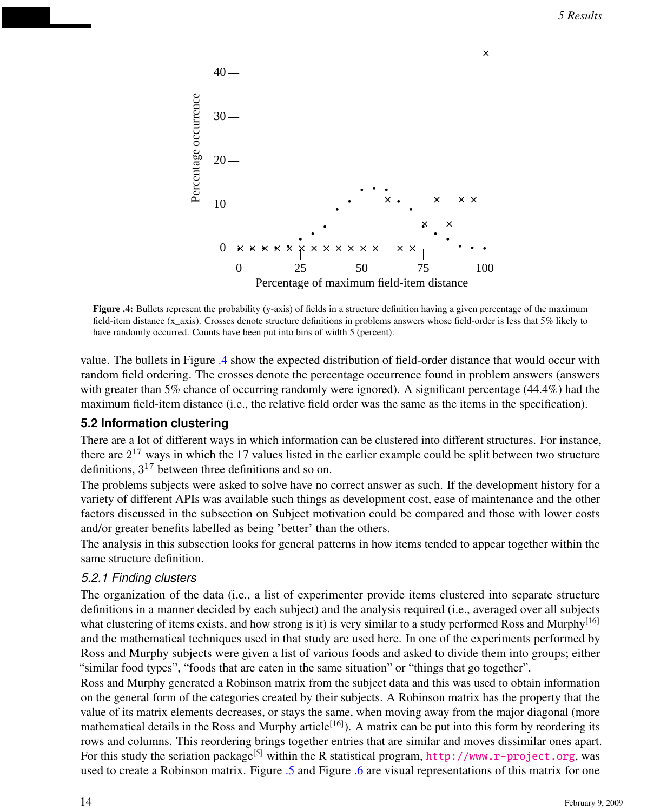

<span id="page-13-0"></span>Figure .4: Bullets represent the probability (y-axis) of fields in a structure definition having a given percentage of the maximum field-item distance (x\_axis). Crosses denote structure definitions in problems answers whose field-order is less that 5% likely to have randomly occurred. Counts have been put into bins of width 5 (percent).

value. The bullets in Figure [.4](#page-13-0) show the expected distribution of field-order distance that would occur with random field ordering. The crosses denote the percentage occurrence found in problem answers (answers with greater than 5% chance of occurring randomly were ignored). A significant percentage (44.4%) had the maximum field-item distance (i.e., the relative field order was the same as the items in the specification).

### **5.2 Information clustering**

There are a lot of different ways in which information can be clustered into different structures. For instance, there are  $2^{17}$  ways in which the 17 values listed in the earlier example could be split between two structure definitions,  $3^{17}$  between three definitions and so on.

The problems subjects were asked to solve have no correct answer as such. If the development history for a variety of different APIs was available such things as development cost, ease of maintenance and the other factors discussed in the subsection on Subject motivation could be compared and those with lower costs and/or greater benefits labelled as being 'better' than the others.

The analysis in this subsection looks for general patterns in how items tended to appear together within the same structure definition.

#### *5.2.1 Finding clusters*

The organization of the data (i.e., a list of experimenter provide items clustered into separate structure definitions in a manner decided by each subject) and the analysis required (i.e., averaged over all subjects what clustering of items exists, and how strong is it) is very similar to a study performed Ross and Murphy<sup>[16]</sup> and the mathematical techniques used in that study are used here. In one of the experiments performed by Ross and Murphy subjects were given a list of various foods and asked to divide them into groups; either "similar food types", "foods that are eaten in the same situation" or "things that go together".

Ross and Murphy generated a Robinson matrix from the subject data and this was used to obtain information on the general form of the categories created by their subjects. A Robinson matrix has the property that the value of its matrix elements decreases, or stays the same, when moving away from the major diagonal (more mathematical details in the Ross and Murphy article<sup>[16]</sup>). A matrix can be put into this form by reordering its rows and columns. This reordering brings together entries that are similar and moves dissimilar ones apart. For this study the seriation package<sup>[5]</sup> within the R statistical program, <http://www.r-project.org>, was used to create a Robinson matrix. Figure [.5](#page-15-0) and Figure [.6](#page-16-0) are visual representations of this matrix for one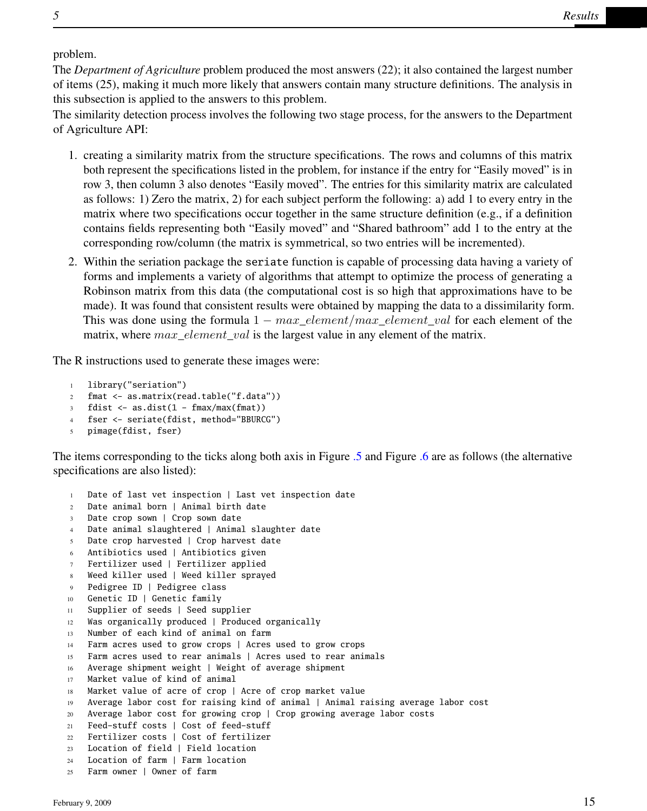problem.

The *Department of Agriculture* problem produced the most answers (22); it also contained the largest number of items (25), making it much more likely that answers contain many structure definitions. The analysis in this subsection is applied to the answers to this problem.

The similarity detection process involves the following two stage process, for the answers to the Department of Agriculture API:

- 1. creating a similarity matrix from the structure specifications. The rows and columns of this matrix both represent the specifications listed in the problem, for instance if the entry for "Easily moved" is in row 3, then column 3 also denotes "Easily moved". The entries for this similarity matrix are calculated as follows: 1) Zero the matrix, 2) for each subject perform the following: a) add 1 to every entry in the matrix where two specifications occur together in the same structure definition (e.g., if a definition contains fields representing both "Easily moved" and "Shared bathroom" add 1 to the entry at the corresponding row/column (the matrix is symmetrical, so two entries will be incremented).
- 2. Within the seriation package the seriate function is capable of processing data having a variety of forms and implements a variety of algorithms that attempt to optimize the process of generating a Robinson matrix from this data (the computational cost is so high that approximations have to be made). It was found that consistent results were obtained by mapping the data to a dissimilarity form. This was done using the formula  $1 - max$ <sub>clement</sub>  $max$ <sub>clement\_val</sub> for each element of the matrix, where  $max\_element\_val$  is the largest value in any element of the matrix.

The R instructions used to generate these images were:

```
1 library("seriation")
```
- 2 fmat <- as.matrix(read.table("f.data"))
- $3$  fdist  $\leftarrow$  as.dist $(1 \text{fmax/max}(\text{fmat}))$
- 4 fser <- seriate(fdist, method="BBURCG")
- 5 pimage(fdist, fser)

The items corresponding to the ticks along both axis in Figure [.5](#page-15-0) and Figure [.6](#page-16-0) are as follows (the alternative specifications are also listed):

```
1 Date of last vet inspection | Last vet inspection date
2 Date animal born | Animal birth date
3 Date crop sown | Crop sown date
   Date animal slaughtered | Animal slaughter date
5 Date crop harvested | Crop harvest date
6 Antibiotics used | Antibiotics given
7 Fertilizer used | Fertilizer applied
8 Weed killer used | Weed killer sprayed
9 Pedigree ID | Pedigree class
10 Genetic ID | Genetic family
11 Supplier of seeds | Seed supplier
12 Was organically produced | Produced organically
13 Number of each kind of animal on farm
14 Farm acres used to grow crops | Acres used to grow crops
15 Farm acres used to rear animals | Acres used to rear animals
16 Average shipment weight | Weight of average shipment
17 Market value of kind of animal
18 Market value of acre of crop | Acre of crop market value
19 Average labor cost for raising kind of animal | Animal raising average labor cost
20 Average labor cost for growing crop | Crop growing average labor costs
21 Feed-stuff costs | Cost of feed-stuff
22 Fertilizer costs | Cost of fertilizer
23 Location of field | Field location
24 Location of farm | Farm location
25 Farm owner | Owner of farm
```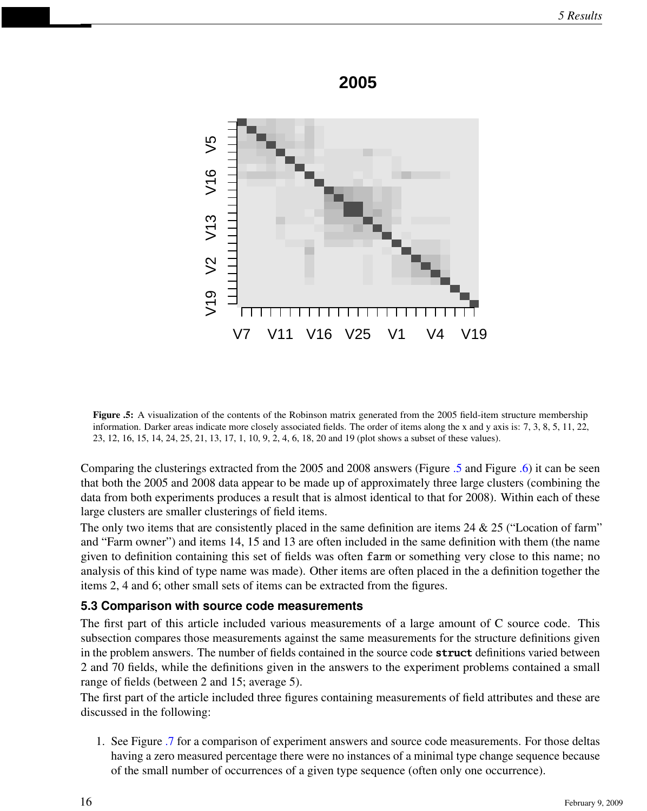

**2005**

<span id="page-15-0"></span>Figure .5: A visualization of the contents of the Robinson matrix generated from the 2005 field-item structure membership information. Darker areas indicate more closely associated fields. The order of items along the x and y axis is: 7, 3, 8, 5, 11, 22, 23, 12, 16, 15, 14, 24, 25, 21, 13, 17, 1, 10, 9, 2, 4, 6, 18, 20 and 19 (plot shows a subset of these values).

Comparing the clusterings extracted from the 2005 and 2008 answers (Figure [.5](#page-15-0) and Figure [.6\)](#page-16-0) it can be seen that both the 2005 and 2008 data appear to be made up of approximately three large clusters (combining the data from both experiments produces a result that is almost identical to that for 2008). Within each of these large clusters are smaller clusterings of field items.

The only two items that are consistently placed in the same definition are items 24  $\&$  25 ("Location of farm" and "Farm owner") and items 14, 15 and 13 are often included in the same definition with them (the name given to definition containing this set of fields was often farm or something very close to this name; no analysis of this kind of type name was made). Other items are often placed in the a definition together the items 2, 4 and 6; other small sets of items can be extracted from the figures.

#### **5.3 Comparison with source code measurements**

The first part of this article included various measurements of a large amount of C source code. This subsection compares those measurements against the same measurements for the structure definitions given in the problem answers. The number of fields contained in the source code **struct** definitions varied between 2 and 70 fields, while the definitions given in the answers to the experiment problems contained a small range of fields (between 2 and 15; average 5).

The first part of the article included three figures containing measurements of field attributes and these are discussed in the following:

1. See Figure [.7](#page-17-0) for a comparison of experiment answers and source code measurements. For those deltas having a zero measured percentage there were no instances of a minimal type change sequence because of the small number of occurrences of a given type sequence (often only one occurrence).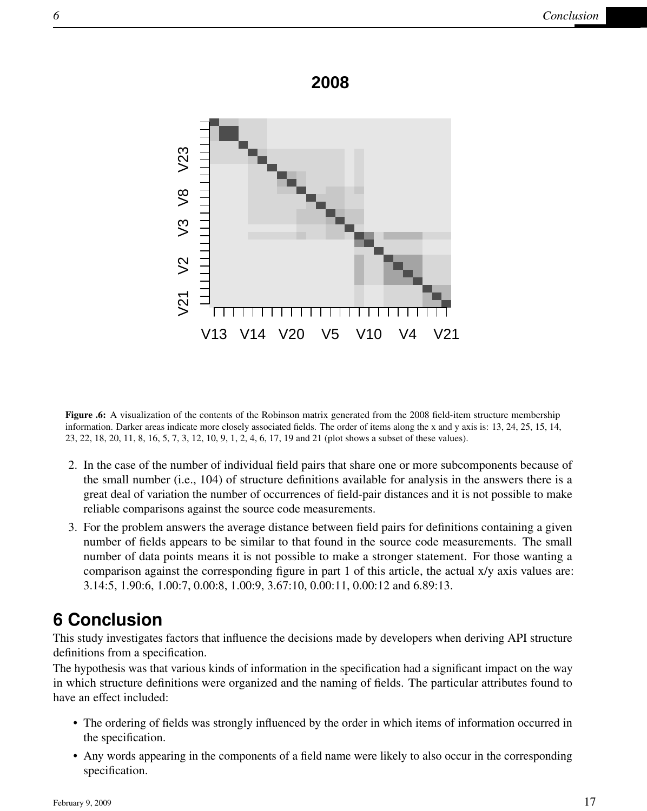



<span id="page-16-0"></span>Figure .6: A visualization of the contents of the Robinson matrix generated from the 2008 field-item structure membership information. Darker areas indicate more closely associated fields. The order of items along the x and y axis is: 13, 24, 25, 15, 14, 23, 22, 18, 20, 11, 8, 16, 5, 7, 3, 12, 10, 9, 1, 2, 4, 6, 17, 19 and 21 (plot shows a subset of these values).

- 2. In the case of the number of individual field pairs that share one or more subcomponents because of the small number (i.e., 104) of structure definitions available for analysis in the answers there is a great deal of variation the number of occurrences of field-pair distances and it is not possible to make reliable comparisons against the source code measurements.
- 3. For the problem answers the average distance between field pairs for definitions containing a given number of fields appears to be similar to that found in the source code measurements. The small number of data points means it is not possible to make a stronger statement. For those wanting a comparison against the corresponding figure in part 1 of this article, the actual x/y axis values are: 3.14:5, 1.90:6, 1.00:7, 0.00:8, 1.00:9, 3.67:10, 0.00:11, 0.00:12 and 6.89:13.

## **6 Conclusion**

This study investigates factors that influence the decisions made by developers when deriving API structure definitions from a specification.

The hypothesis was that various kinds of information in the specification had a significant impact on the way in which structure definitions were organized and the naming of fields. The particular attributes found to have an effect included:

- The ordering of fields was strongly influenced by the order in which items of information occurred in the specification.
- Any words appearing in the components of a field name were likely to also occur in the corresponding specification.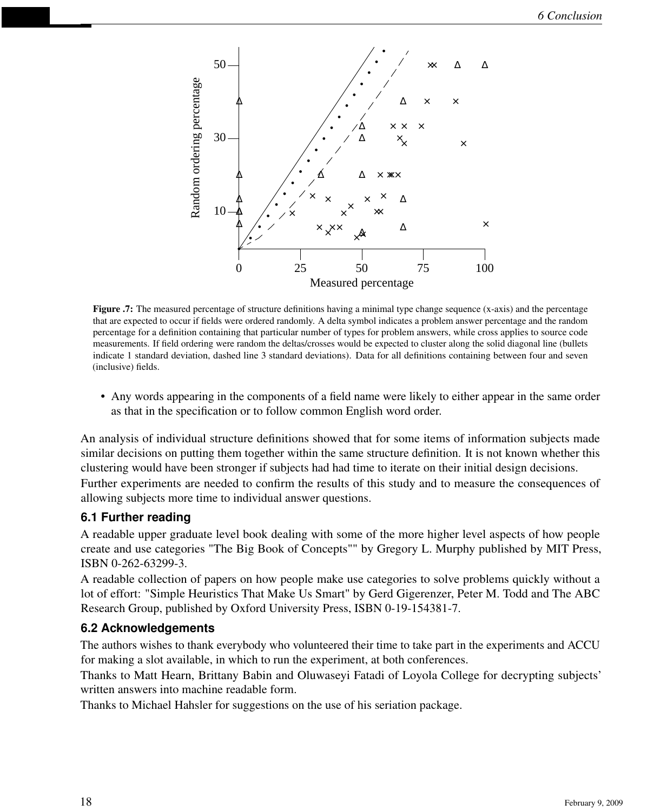

<span id="page-17-0"></span>Figure .7: The measured percentage of structure definitions having a minimal type change sequence (x-axis) and the percentage that are expected to occur if fields were ordered randomly. A delta symbol indicates a problem answer percentage and the random percentage for a definition containing that particular number of types for problem answers, while cross applies to source code measurements. If field ordering were random the deltas/crosses would be expected to cluster along the solid diagonal line (bullets indicate 1 standard deviation, dashed line 3 standard deviations). Data for all definitions containing between four and seven (inclusive) fields.

• Any words appearing in the components of a field name were likely to either appear in the same order as that in the specification or to follow common English word order.

An analysis of individual structure definitions showed that for some items of information subjects made similar decisions on putting them together within the same structure definition. It is not known whether this clustering would have been stronger if subjects had had time to iterate on their initial design decisions. Further experiments are needed to confirm the results of this study and to measure the consequences of allowing subjects more time to individual answer questions.

#### **6.1 Further reading**

A readable upper graduate level book dealing with some of the more higher level aspects of how people create and use categories "The Big Book of Concepts"" by Gregory L. Murphy published by MIT Press, ISBN 0-262-63299-3.

A readable collection of papers on how people make use categories to solve problems quickly without a lot of effort: "Simple Heuristics That Make Us Smart" by Gerd Gigerenzer, Peter M. Todd and The ABC Research Group, published by Oxford University Press, ISBN 0-19-154381-7.

### **6.2 Acknowledgements**

The authors wishes to thank everybody who volunteered their time to take part in the experiments and ACCU for making a slot available, in which to run the experiment, at both conferences.

Thanks to Matt Hearn, Brittany Babin and Oluwaseyi Fatadi of Loyola College for decrypting subjects' written answers into machine readable form.

Thanks to Michael Hahsler for suggestions on the use of his seriation package.